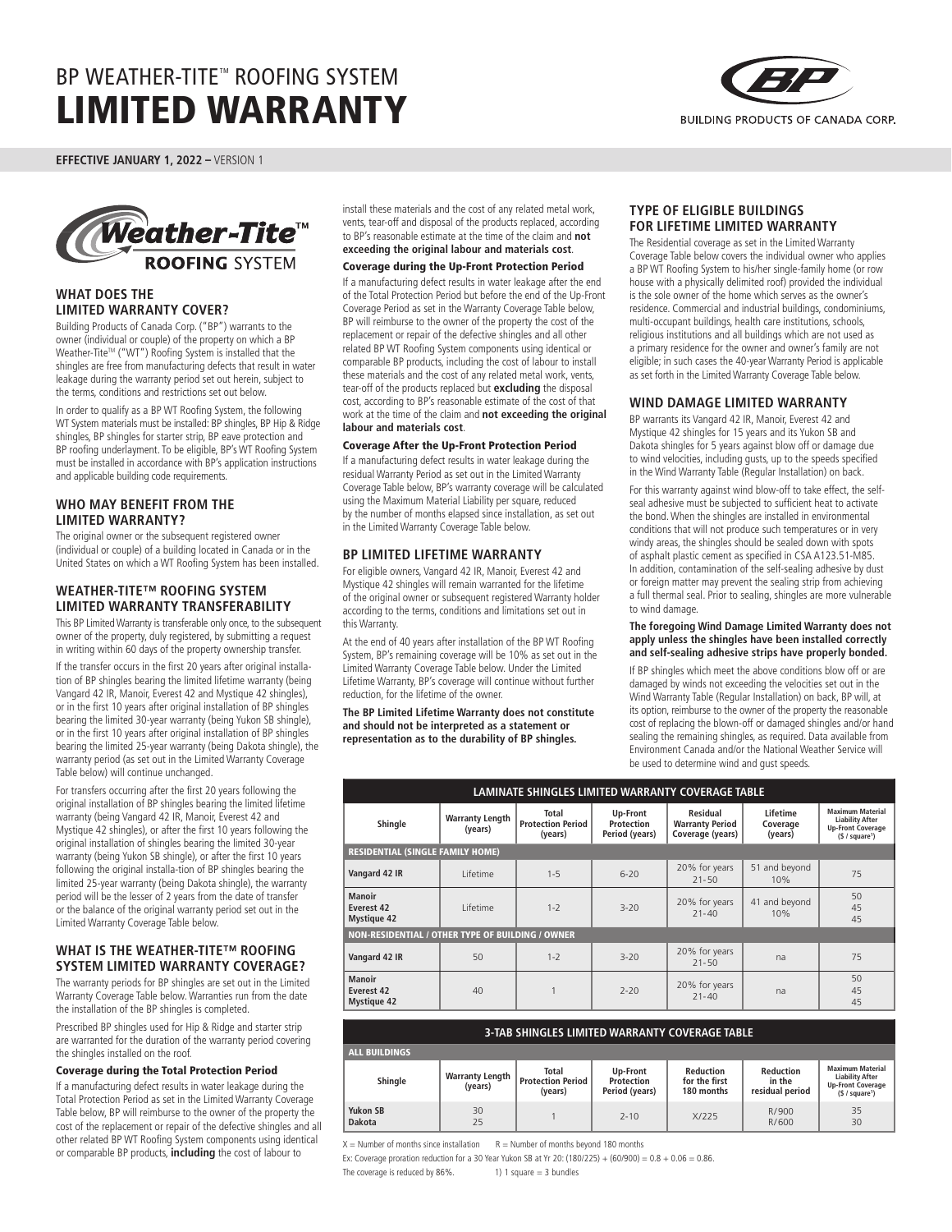

**EFFECTIVE JANUARY 1, 2022 –** VERSION 1



## **WHAT DOES THE LIMITED WARRANTY COVER?**

Building Products of Canada Corp. ("BP") warrants to the owner (individual or couple) of the property on which a BP Weather-Tite™ ("WT") Roofing System is installed that the shingles are free from manufacturing defects that result in water leakage during the warranty period set out herein, subject to the terms, conditions and restrictions set out below.

In order to qualify as a BP WT Roofing System, the following WT System materials must be installed: BP shingles, BP Hip & Ridge shingles, BP shingles for starter strip, BP eave protection and BP roofing underlayment. To be eligible, BP's WT Roofing System must be installed in accordance with BP's application instructions and applicable building code requirements.

# **WHO MAY BENEFIT FROM THE LIMITED WARRANTY?**

The original owner or the subsequent registered owner (individual or couple) of a building located in Canada or in the United States on which a WT Roofing System has been installed.

# **WEATHER-TITE™ ROOFING SYSTEM LIMITED WARRANTY TRANSFERABILITY**

This BP Limited Warranty is transferable only once, to the subsequent owner of the property, duly registered, by submitting a request in writing within 60 days of the property ownership transfer.

If the transfer occurs in the first 20 years after original installation of BP shingles bearing the limited lifetime warranty (being Vangard 42 IR, Manoir, Everest 42 and Mystique 42 shingles), or in the first 10 years after original installation of BP shingles bearing the limited 30-year warranty (being Yukon SB shingle), or in the first 10 years after original installation of BP shingles bearing the limited 25-year warranty (being Dakota shingle), the warranty period (as set out in the Limited Warranty Coverage Table below) will continue unchanged.

For transfers occurring after the first 20 years following the original installation of BP shingles bearing the limited lifetime warranty (being Vangard 42 IR, Manoir, Everest 42 and Mystique 42 shingles), or after the first 10 years following the original installation of shingles bearing the limited 30-year warranty (being Yukon SB shingle), or after the first 10 years following the original installa-tion of BP shingles bearing the limited 25-year warranty (being Dakota shingle), the warranty period will be the lesser of 2 years from the date of transfer or the balance of the original warranty period set out in the Limited Warranty Coverage Table below.

# **WHAT IS THE WEATHER-TITE™ ROOFING SYSTEM LIMITED WARRANTY COVERAGE?**

The warranty periods for BP shingles are set out in the Limited Warranty Coverage Table below. Warranties run from the date the installation of the BP shingles is completed.

Prescribed BP shingles used for Hip & Ridge and starter strip are warranted for the duration of the warranty period covering the shingles installed on the roof.

### Coverage during the Total Protection Period

If a manufacturing defect results in water leakage during the Total Protection Period as set in the Limited Warranty Coverage Table below, BP will reimburse to the owner of the property the cost of the replacement or repair of the defective shingles and all other related BP WT Roofing System components using identical or comparable BP products, **including** the cost of labour to

install these materials and the cost of any related metal work, vents, tear-off and disposal of the products replaced, according to BP's reasonable estimate at the time of the claim and **not exceeding the original labour and materials cost**.

#### Coverage during the Up-Front Protection Period

If a manufacturing defect results in water leakage after the end of the Total Protection Period but before the end of the Up-Front Coverage Period as set in the Warranty Coverage Table below, BP will reimburse to the owner of the property the cost of the replacement or repair of the defective shingles and all other related BP WT Roofing System components using identical or comparable BP products, including the cost of labour to install these materials and the cost of any related metal work, vents, tear-off of the products replaced but **excluding** the disposal cost, according to BP's reasonable estimate of the cost of that work at the time of the claim and **not exceeding the original labour and materials cost**.

#### Coverage After the Up-Front Protection Period

If a manufacturing defect results in water leakage during the residual Warranty Period as set out in the Limited Warranty Coverage Table below, BP's warranty coverage will be calculated using the Maximum Material Liability per square, reduced by the number of months elapsed since installation, as set out in the Limited Warranty Coverage Table below.

## **BP LIMITED LIFETIME WARRANTY**

For eligible owners, Vangard 42 IR, Manoir, Everest 42 and Mystique 42 shingles will remain warranted for the lifetime of the original owner or subsequent registered Warranty holder according to the terms, conditions and limitations set out in this Warranty.

At the end of 40 years after installation of the BP WT Roofing System, BP's remaining coverage will be 10% as set out in the Limited Warranty Coverage Table below. Under the Limited Lifetime Warranty, BP's coverage will continue without further reduction, for the lifetime of the owner.

**The BP Limited Lifetime Warranty does not constitute and should not be interpreted as a statement or representation as to the durability of BP shingles.**

### **TYPE OF ELIGIBLE BUILDINGS FOR LIFETIME LIMITED WARRANTY**

The Residential coverage as set in the Limited Warranty Coverage Table below covers the individual owner who applies a BP WT Roofing System to his/her single-family home (or row house with a physically delimited roof) provided the individual is the sole owner of the home which serves as the owner's residence. Commercial and industrial buildings, condominiums, multi-occupant buildings, health care institutions, schools, religious institutions and all buildings which are not used as a primary residence for the owner and owner's family are not eligible; in such cases the 40-year Warranty Period is applicable as set forth in the Limited Warranty Coverage Table below.

## **WIND DAMAGE LIMITED WARRANTY**

BP warrants its Vangard 42 IR, Manoir, Everest 42 and Mystique 42 shingles for 15 years and its Yukon SB and Dakota shingles for 5 years against blow off or damage due to wind velocities, including gusts, up to the speeds specified in the Wind Warranty Table (Regular Installation) on back.

For this warranty against wind blow-off to take effect, the selfseal adhesive must be subjected to sufficient heat to activate the bond. When the shingles are installed in environmental conditions that will not produce such temperatures or in very windy areas, the shingles should be sealed down with spots of asphalt plastic cement as specified in CSA A123.51-M85. In addition, contamination of the self-sealing adhesive by dust or foreign matter may prevent the sealing strip from achieving a full thermal seal. Prior to sealing, shingles are more vulnerable to wind damage.

#### **The foregoing Wind Damage Limited Warranty does not apply unless the shingles have been installed correctly and self-sealing adhesive strips have properly bonded.**

If BP shingles which meet the above conditions blow off or are damaged by winds not exceeding the velocities set out in the Wind Warranty Table (Regular Installation) on back, BP will, at its option, reimburse to the owner of the property the reasonable cost of replacing the blown-off or damaged shingles and/or hand sealing the remaining shingles, as required. Data available from Environment Canada and/or the National Weather Service will be used to determine wind and gust speeds.

| LAMINATE SHINGLES LIMITED WARRANTY COVERAGE TABLE       |                                   |                                              |                                          |                                                        |                                 |                                                                                                             |  |
|---------------------------------------------------------|-----------------------------------|----------------------------------------------|------------------------------------------|--------------------------------------------------------|---------------------------------|-------------------------------------------------------------------------------------------------------------|--|
| Shingle                                                 | <b>Warranty Length</b><br>(years) | Total<br><b>Protection Period</b><br>(years) | Up-Front<br>Protection<br>Period (years) | Residual<br><b>Warranty Period</b><br>Coverage (years) | Lifetime<br>Coverage<br>(years) | <b>Maximum Material</b><br><b>Liability After</b><br><b>Up-Front Coverage</b><br>(S / square <sup>1</sup> ) |  |
| <b>RESIDENTIAL (SINGLE FAMILY HOME)</b>                 |                                   |                                              |                                          |                                                        |                                 |                                                                                                             |  |
| Vangard 42 IR                                           | I ifetime                         | $1 - 5$                                      | $6 - 20$                                 | 20% for years<br>$21 - 50$                             | 51 and beyond<br>10%            | 75                                                                                                          |  |
| <b>Manoir</b><br>Everest 42<br><b>Mystique 42</b>       | I ifetime                         | $1 - 2$                                      | $3 - 20$                                 | 20% for years<br>$21 - 40$                             | 41 and beyond<br>10%            | 50<br>45<br>45                                                                                              |  |
| <b>NON-RESIDENTIAL / OTHER TYPE OF BUILDING / OWNER</b> |                                   |                                              |                                          |                                                        |                                 |                                                                                                             |  |
| Vangard 42 IR                                           | 50                                | $1 - 2$                                      | $3 - 20$                                 | 20% for years<br>$21 - 50$                             | na                              | 75                                                                                                          |  |
| <b>Manoir</b><br>Everest 42<br><b>Mystique 42</b>       | 40                                |                                              | $7 - 20$                                 | 20% for years<br>$21 - 40$                             | na                              | 50<br>45<br>45                                                                                              |  |

| <b>3-TAB SHINGLES LIMITED WARRANTY COVERAGE TABLE</b> |                                   |                                                     |                                          |                                          |                                               |                                                                                                             |  |
|-------------------------------------------------------|-----------------------------------|-----------------------------------------------------|------------------------------------------|------------------------------------------|-----------------------------------------------|-------------------------------------------------------------------------------------------------------------|--|
| <b>ALL BUILDINGS</b>                                  |                                   |                                                     |                                          |                                          |                                               |                                                                                                             |  |
| Shingle                                               | <b>Warranty Length</b><br>(years) | <b>Total</b><br><b>Protection Period</b><br>(years) | Up-Front<br>Protection<br>Period (years) | Reduction<br>for the first<br>180 months | <b>Reduction</b><br>in the<br>residual period | <b>Maximum Material</b><br><b>Liability After</b><br><b>Up-Front Coverage</b><br>(§ / square <sup>1</sup> ) |  |
| Yukon SB<br><b>Dakota</b>                             | 30<br>25                          |                                                     | $7 - 10$                                 | X/225                                    | R/900<br>R/600                                | 35<br>30                                                                                                    |  |

 $X =$  Number of months since installation  $R =$  Number of months beyond 180 months

Ex: Coverage proration reduction for a 30 Year Yukon SB at Yr 20: (180/225) + (60/900) =  $0.8 + 0.06 = 0.86$ .

The coverage is reduced by  $86\%$ . 1) 1 square = 3 bundles